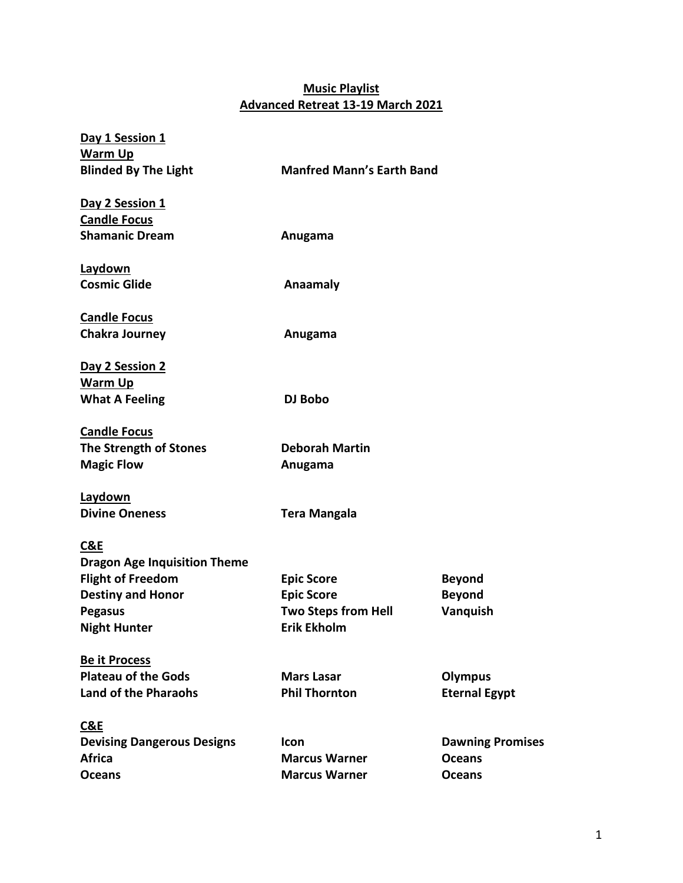## **Music Playlist Advanced Retreat 13-19 March 2021**

| Day 1 Session 1                     |                                  |                         |
|-------------------------------------|----------------------------------|-------------------------|
| Warm Up                             |                                  |                         |
| <b>Blinded By The Light</b>         | <b>Manfred Mann's Earth Band</b> |                         |
| Day 2 Session 1                     |                                  |                         |
| <b>Candle Focus</b>                 |                                  |                         |
| <b>Shamanic Dream</b>               | Anugama                          |                         |
| <b>Laydown</b>                      |                                  |                         |
| <b>Cosmic Glide</b>                 | Anaamaly                         |                         |
| <b>Candle Focus</b>                 |                                  |                         |
| <b>Chakra Journey</b>               | Anugama                          |                         |
| Day 2 Session 2                     |                                  |                         |
| Warm Up                             |                                  |                         |
| <b>What A Feeling</b>               | DJ Bobo                          |                         |
| <b>Candle Focus</b>                 |                                  |                         |
| The Strength of Stones              | <b>Deborah Martin</b>            |                         |
| <b>Magic Flow</b>                   | Anugama                          |                         |
| Laydown                             |                                  |                         |
| <b>Divine Oneness</b>               | <b>Tera Mangala</b>              |                         |
| <b>C&amp;E</b>                      |                                  |                         |
| <b>Dragon Age Inquisition Theme</b> |                                  |                         |
| <b>Flight of Freedom</b>            | <b>Epic Score</b>                | <b>Beyond</b>           |
| <b>Destiny and Honor</b>            | <b>Epic Score</b>                | <b>Beyond</b>           |
| <b>Pegasus</b>                      | <b>Two Steps from Hell</b>       | Vanquish                |
| <b>Night Hunter</b>                 | <b>Erik Ekholm</b>               |                         |
| <b>Be it Process</b>                |                                  |                         |
| <b>Plateau of the Gods</b>          | <b>Mars Lasar</b>                | <b>Olympus</b>          |
| <b>Land of the Pharaohs</b>         | <b>Phil Thornton</b>             | <b>Eternal Egypt</b>    |
| C&E                                 |                                  |                         |
| <b>Devising Dangerous Designs</b>   | <b>Icon</b>                      | <b>Dawning Promises</b> |
| <b>Africa</b>                       | <b>Marcus Warner</b>             | <b>Oceans</b>           |
| <b>Oceans</b>                       | <b>Marcus Warner</b>             | <b>Oceans</b>           |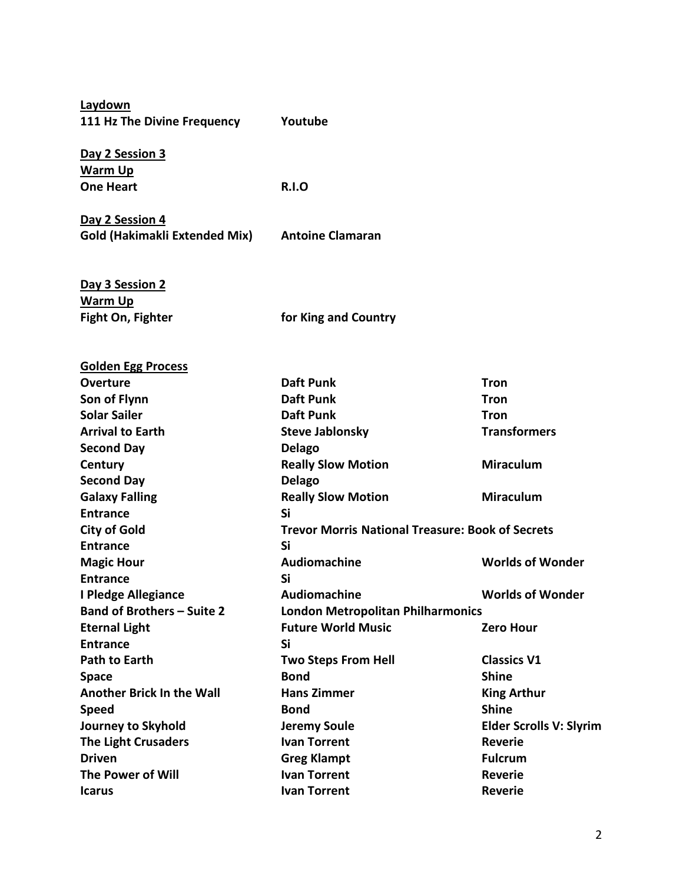**Laydown 111 Hz The Divine Frequency Youtube**

**Day 2 Session 3 Warm Up One Heart R.I.O**

**Golden Egg Process**

**Day 2 Session 4 Gold (Hakimakli Extended Mix) Antoine Clamaran**

**Day 3 Session 2 Warm Up Fight On, Fighter for King and Country** 

**Overture Construction Construction Construction Construction Construction Construction Construction Construction Son of Flynn Contract Contract Contract Daft Punk Contract Contract Contract Contract Contract Contract Contract Contract Contract Contract Contract Contract Contract Contract Contract Contract Contract Contract Contract Solar Sailer Community Community Community Community Community Community Community Community Community Community** Arrival to Earth **Steve Jablonsky** Transformers **Second Day Delago Century Century Really Slow Motion Miraculum Second Day Delago Galaxy Falling Really Slow Motion Miraculum Entrance** Si **City of Gold Trevor Morris National Treasure: Book of Secrets Entrance Si Magic Hour Community Communist Communist Audiomachine Communist Communist Communist Communist Communist Communist Communist Communist Communist Communist Communist Communist Communist Communist Communist Communist Communi Entrance** Si **I Pledge Allegiance Serve Audiomachine Monder Worlds of Wonder Band of Brothers – Suite 2 London Metropolitan Philharmonics Eternal Light Community Communist Communist Communist Communist Communist Communist Communist Communist Communist Communist Communist Communist Communist Communist Communist Communist Communist Communist Communist Communi Entrance Si** Path to Earth **Two Steps From Hell** Classics V1 **Space Service Shine** Bond Shine **Another Brick In the Wall Communishing Hans Zimmer Communist Communist Communist Communist Communist Communist Communist Communist Communist Communist Communist Communist Communist Communist Communist Communist Communist Speed Shine** Bond Shine **Journey to Skyhold Jeremy Soule Elder Scrolls V: Slyrim The Light Crusaders Ivan Torrent Reverie Driven Greg Klampt** Greg Klampt **Fulcrum The Power of Will State Communist Communist Communist Communist Communist Communist Communist Communist Communist Communist Communist Communist Communist Communist Communist Communist Communist Communist Communist Communi Icarus Ivan Torrent Ivan Torrent Reverie**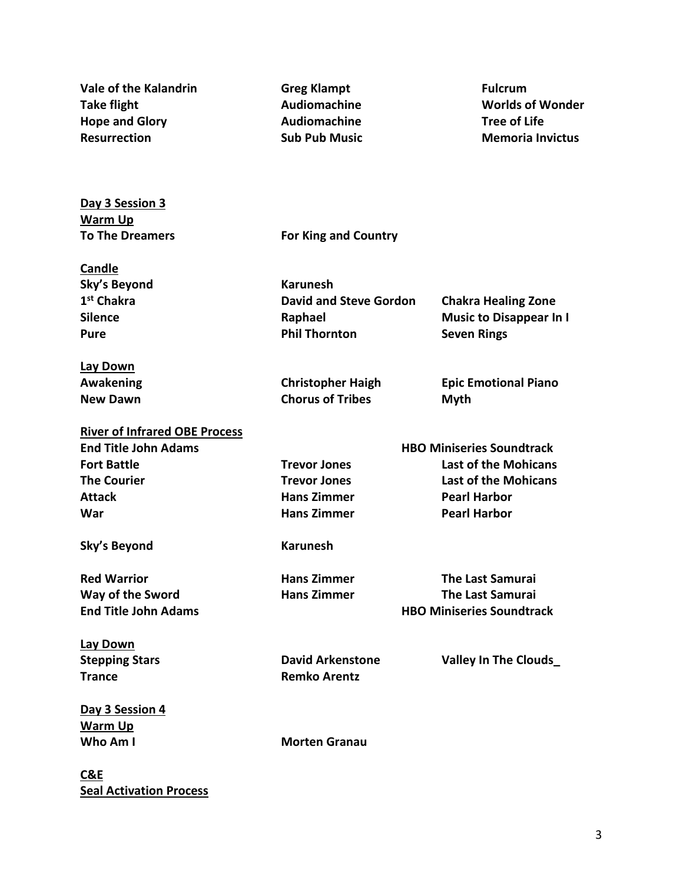| Vale of the Kalandrin                | <b>Greg Klampt</b>            | <b>Fulcrum</b>                   |  |
|--------------------------------------|-------------------------------|----------------------------------|--|
| <b>Take flight</b>                   | <b>Audiomachine</b>           | <b>Worlds of Wonder</b>          |  |
| <b>Hope and Glory</b>                | <b>Audiomachine</b>           | <b>Tree of Life</b>              |  |
| <b>Resurrection</b>                  | <b>Sub Pub Music</b>          | <b>Memoria Invictus</b>          |  |
|                                      |                               |                                  |  |
| Day 3 Session 3                      |                               |                                  |  |
| <b>Warm Up</b>                       |                               |                                  |  |
| <b>To The Dreamers</b>               | <b>For King and Country</b>   |                                  |  |
| Candle                               |                               |                                  |  |
| <b>Sky's Beyond</b>                  | <b>Karunesh</b>               |                                  |  |
| 1 <sup>st</sup> Chakra               | <b>David and Steve Gordon</b> | <b>Chakra Healing Zone</b>       |  |
| <b>Silence</b>                       | Raphael                       | <b>Music to Disappear In I</b>   |  |
| <b>Pure</b>                          | <b>Phil Thornton</b>          | <b>Seven Rings</b>               |  |
| Lay Down                             |                               |                                  |  |
| Awakening                            | <b>Christopher Haigh</b>      | <b>Epic Emotional Piano</b>      |  |
| <b>New Dawn</b>                      | <b>Chorus of Tribes</b>       | <b>Myth</b>                      |  |
| <b>River of Infrared OBE Process</b> |                               |                                  |  |
| <b>End Title John Adams</b>          |                               | <b>HBO Miniseries Soundtrack</b> |  |
| <b>Fort Battle</b>                   | <b>Trevor Jones</b>           | <b>Last of the Mohicans</b>      |  |
| <b>The Courier</b>                   | <b>Trevor Jones</b>           | <b>Last of the Mohicans</b>      |  |
| <b>Attack</b>                        | <b>Hans Zimmer</b>            | <b>Pearl Harbor</b>              |  |
| War                                  | <b>Hans Zimmer</b>            | <b>Pearl Harbor</b>              |  |
| Sky's Beyond                         | <b>Karunesh</b>               |                                  |  |
| <b>Red Warrior</b>                   | <b>Hans Zimmer</b>            | <b>The Last Samurai</b>          |  |
| Way of the Sword                     | <b>Hans Zimmer</b>            | <b>The Last Samurai</b>          |  |
| <b>End Title John Adams</b>          |                               | <b>HBO Miniseries Soundtrack</b> |  |
| <b>Lay Down</b>                      |                               |                                  |  |
| <b>Stepping Stars</b>                | <b>David Arkenstone</b>       | Valley In The Clouds             |  |
| <b>Trance</b>                        | <b>Remko Arentz</b>           |                                  |  |
| Day 3 Session 4                      |                               |                                  |  |
| <b>Warm Up</b>                       |                               |                                  |  |
| Who Am I                             | <b>Morten Granau</b>          |                                  |  |
| C&E                                  |                               |                                  |  |

**Seal Activation Process**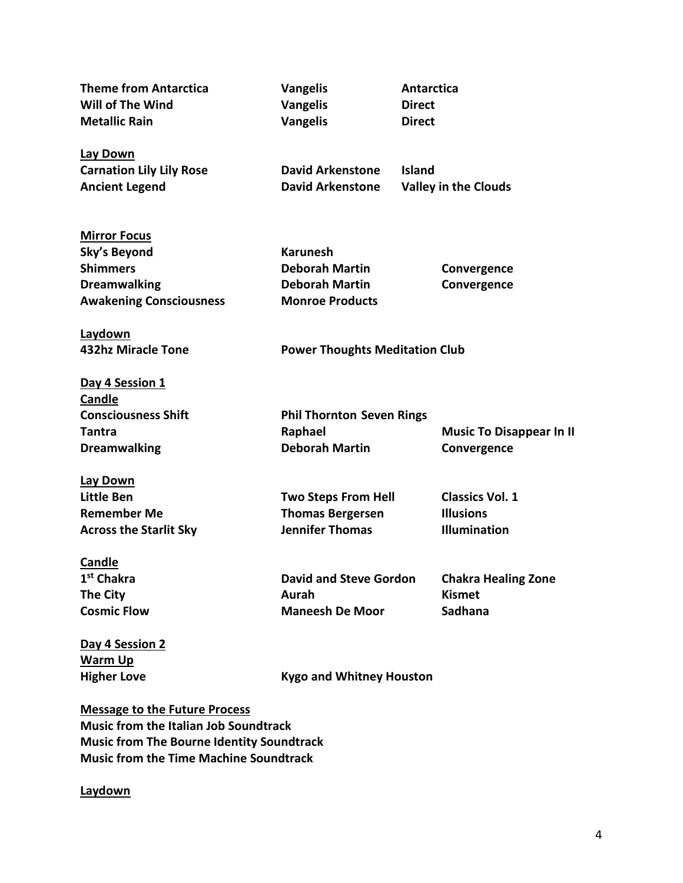**Theme from Antarctica** Vangelis Antarctica **Will of The Wind Vangelis Direct Metallic Rain Community Community Community Community Community Community Community Community Community Community Community Community Community Community Community Community Community Community Community Community Communi Lay Down Carnation Lily Lily Rose Carnation Lily Lily Rose Carnation Carnation Lily Area Rose Carnation Carnation Carnation Carnation Carnation Carnation Carnation Carnation Carnation Carnation Carnation Carnation Carnation Carnat Ancient Legend David Arkenstone Valley in the Clouds Mirror Focus Sky's Beyond Karunesh Shimmers Deborah Martin Convergence Dreamwalking Convergence Deborah Martin Convergence Awakening Consciousness Monroe Products Laydown 432hz Miracle Tone Power Thoughts Meditation Club Day 4 Session 1 Candle Consciousness Shift Phil Thornton Seven Rings Tantra Music To Disappear In II** Raphael **Raphael Music To Disappear In II Dreamwalking Convergence Deborah Martin Convergence Lay Down Little Ben Two Steps From Hell Classics Vol. 1 Remember Me Thomas Bergersen Illusions** Across the Starlit Sky **Starlight School Starlight Sky** Jennifer Thomas **Illumination Candle 1st Chakra David and Steve Gordon Chakra Healing Zone The City Aurah** Aurah **Kismet Cosmic Flow Maneesh De Moor Sadhana Day 4 Session 2 Warm Up Higher Love Communist Communist Communist Communist Communist Communist Communist Communist Communist Communist Communist Communist Communist Communist Communist Communist Communist Communist Communist Communist Communist** 

**Message to the Future Process Music from the Italian Job Soundtrack Music from The Bourne Identity Soundtrack Music from the Time Machine Soundtrack**

## **Laydown**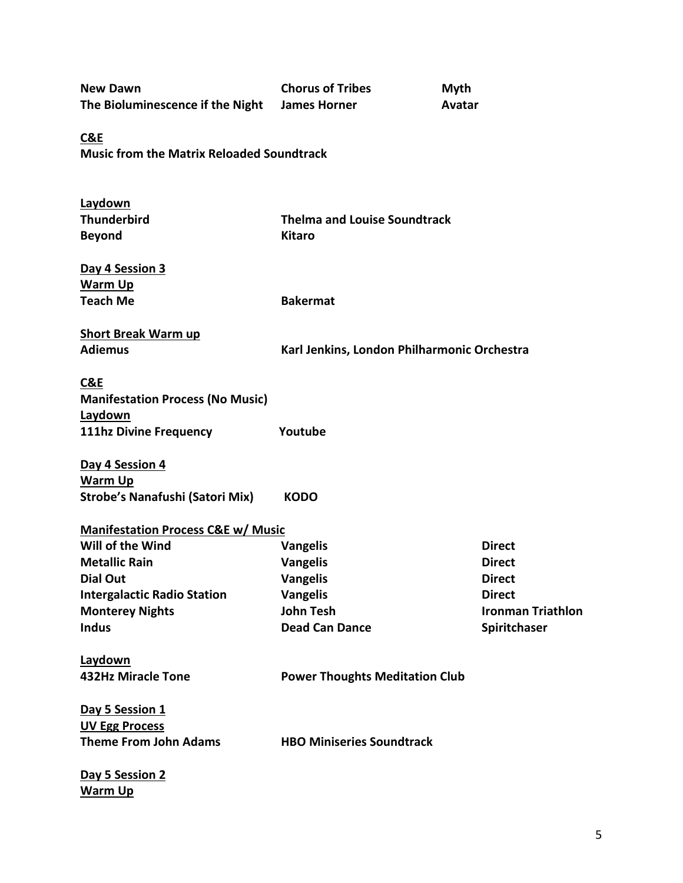| <b>New Dawn</b><br>The Bioluminescence if the Night | <b>Chorus of Tribes</b><br><b>James Horner</b> | <b>Myth</b><br>Avatar |                          |
|-----------------------------------------------------|------------------------------------------------|-----------------------|--------------------------|
| C&E                                                 |                                                |                       |                          |
| <b>Music from the Matrix Reloaded Soundtrack</b>    |                                                |                       |                          |
| Laydown                                             |                                                |                       |                          |
| <b>Thunderbird</b>                                  | <b>Thelma and Louise Soundtrack</b>            |                       |                          |
| <b>Beyond</b>                                       | <b>Kitaro</b>                                  |                       |                          |
| Day 4 Session 3                                     |                                                |                       |                          |
| <b>Warm Up</b>                                      |                                                |                       |                          |
| <b>Teach Me</b>                                     | <b>Bakermat</b>                                |                       |                          |
| <b>Short Break Warm up</b>                          |                                                |                       |                          |
| <b>Adiemus</b>                                      | Karl Jenkins, London Philharmonic Orchestra    |                       |                          |
| C&E                                                 |                                                |                       |                          |
| <b>Manifestation Process (No Music)</b>             |                                                |                       |                          |
| Laydown                                             |                                                |                       |                          |
| <b>111hz Divine Frequency</b>                       | Youtube                                        |                       |                          |
| Day 4 Session 4                                     |                                                |                       |                          |
| <b>Warm Up</b>                                      |                                                |                       |                          |
| <b>Strobe's Nanafushi (Satori Mix)</b>              | <b>KODO</b>                                    |                       |                          |
| <b>Manifestation Process C&amp;E w/ Music</b>       |                                                |                       |                          |
| Will of the Wind                                    | <b>Vangelis</b>                                | <b>Direct</b>         |                          |
| <b>Metallic Rain</b>                                | <b>Vangelis</b>                                |                       | <b>Direct</b>            |
| <b>Dial Out</b>                                     | Vangelis                                       | <b>Direct</b>         |                          |
| <b>Intergalactic Radio Station</b>                  | <b>Vangelis</b>                                |                       | <b>Direct</b>            |
| <b>Monterey Nights</b>                              | <b>John Tesh</b>                               |                       | <b>Ironman Triathlon</b> |
| <b>Indus</b>                                        | <b>Dead Can Dance</b>                          |                       | Spiritchaser             |
| Laydown                                             |                                                |                       |                          |
| <b>432Hz Miracle Tone</b>                           | <b>Power Thoughts Meditation Club</b>          |                       |                          |
| Day 5 Session 1                                     |                                                |                       |                          |
| <b>UV Egg Process</b>                               |                                                |                       |                          |
| <b>Theme From John Adams</b>                        | <b>HBO Miniseries Soundtrack</b>               |                       |                          |
| Day 5 Session 2                                     |                                                |                       |                          |
| <b>Warm Up</b>                                      |                                                |                       |                          |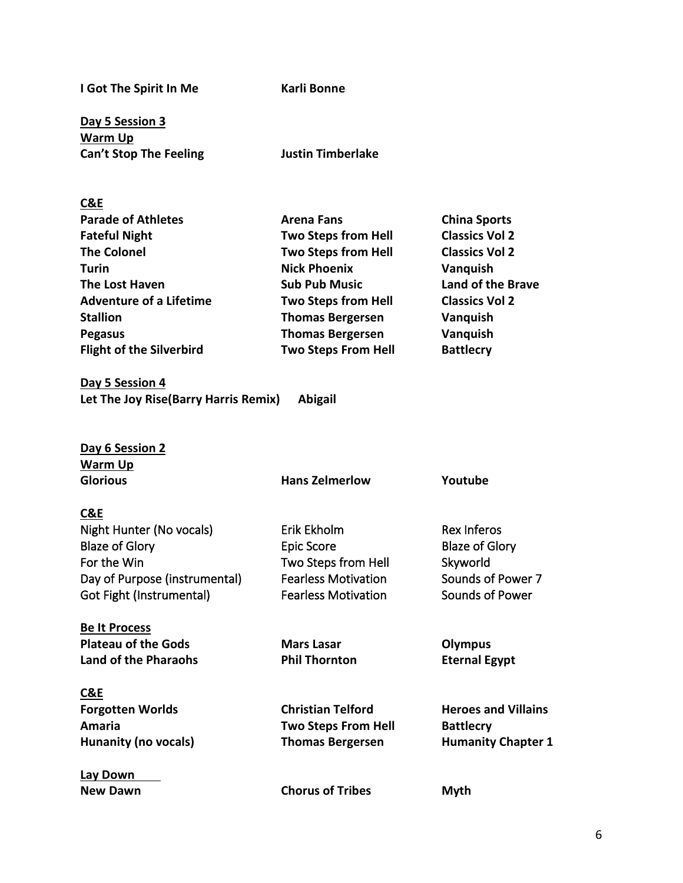**I Got The Spirit In Me Karli Bonne** 

**Day 5 Session 3 Warm Up Can't Stop The Feeling Justin Timberlake**

## **C&E**

| <b>Parade of Athletes</b>       | <b>Arena Fans</b>          | <b>China Sports</b>      |
|---------------------------------|----------------------------|--------------------------|
| <b>Fateful Night</b>            | <b>Two Steps from Hell</b> | <b>Classics Vol 2</b>    |
| <b>The Colonel</b>              | <b>Two Steps from Hell</b> | <b>Classics Vol 2</b>    |
| <b>Turin</b>                    | <b>Nick Phoenix</b>        | Vanquish                 |
| <b>The Lost Haven</b>           | <b>Sub Pub Music</b>       | <b>Land of the Brave</b> |
| <b>Adventure of a Lifetime</b>  | <b>Two Steps from Hell</b> | <b>Classics Vol 2</b>    |
| <b>Stallion</b>                 | <b>Thomas Bergersen</b>    | Vanquish                 |
| <b>Pegasus</b>                  | <b>Thomas Bergersen</b>    | Vanquish                 |
| <b>Flight of the Silverbird</b> | <b>Two Steps From Hell</b> | <b>Battlecry</b>         |

**Day 5 Session 4 Let The Joy Rise(Barry Harris Remix) Abigail**

**Day 6 Session 2 Warm Up Glorious Hans Zelmerlow Youtube C&E** Night Hunter (No vocals) **Erik Ekholm** Rex Inferos Blaze of Glory **Epic Score** Epic Score Blaze of Glory For the Win **For the Win** Two Steps from Hell Skyworld Day of Purpose (instrumental) Fearless Motivation Sounds of Power 7 Got Fight (Instrumental) Fearless Motivation Sounds of Power **Be It Process** Plateau of the Gods **Mars Lasar** Olympus Land of the Pharaohs **Phil Thornton** Eternal Egypt **C&E** Forgotten Worlds **Christian Telford** Heroes and Villains **Amaria Two Steps From Hell Battlecry**

**Lay Down New Dawn Chorus of Tribes Myth** 

Hunanity (no vocals) Thomas Bergersen Humanity Chapter 1